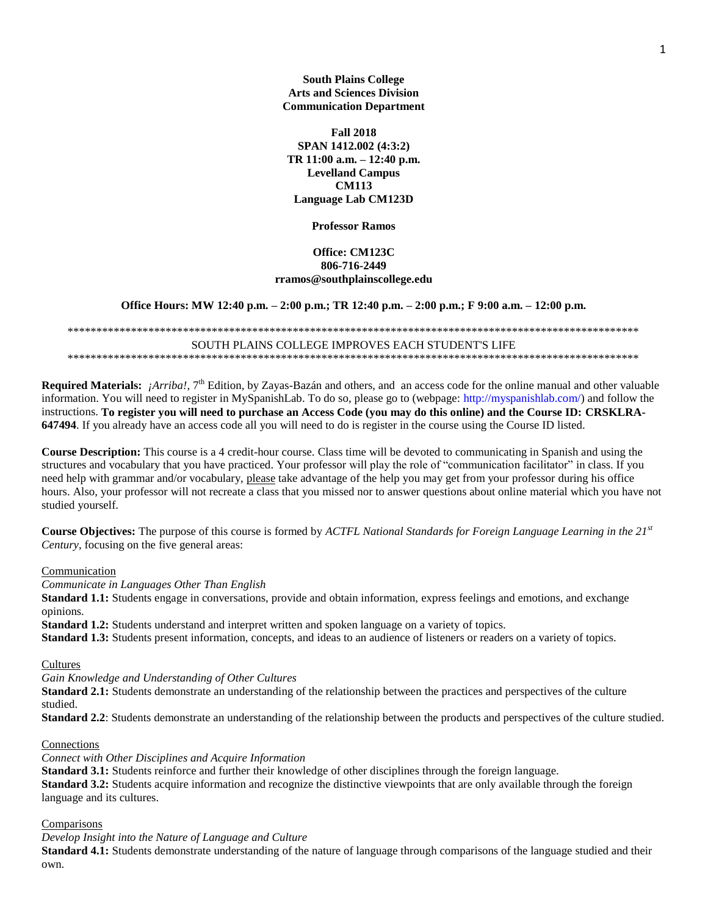**South Plains College Arts and Sciences Division Communication Department**

**Fall 2018 SPAN 1412.002 (4:3:2) TR 11:00 a.m. – 12:40 p.m. Levelland Campus CM113 Language Lab CM123D**

**Professor Ramos**

#### **Office: CM123C 806-716-2449 rramos@southplainscollege.edu**

**Office Hours: MW 12:40 p.m. – 2:00 p.m.; TR 12:40 p.m. – 2:00 p.m.; F 9:00 a.m. – 12:00 p.m.**

\*\*\*\*\*\*\*\*\*\*\*\*\*\*\*\*\*\*\*\*\*\*\*\*\*\*\*\*\*\*\*\*\*\*\*\*\*\*\*\*\*\*\*\*\*\*\*\*\*\*\*\*\*\*\*\*\*\*\*\*\*\*\*\*\*\*\*\*\*\*\*\*\*\*\*\*\*\*\*\*\*\*\*\*\*\*\*\*\*\*\*\*\*\*\*\*\*\*\* SOUTH PLAINS COLLEGE IMPROVES EACH STUDENT'S LIFE \*\*\*\*\*\*\*\*\*\*\*\*\*\*\*\*\*\*\*\*\*\*\*\*\*\*\*\*\*\*\*\*\*\*\*\*\*\*\*\*\*\*\*\*\*\*\*\*\*\*\*\*\*\*\*\*\*\*\*\*\*\*\*\*\*\*\*\*\*\*\*\*\*\*\*\*\*\*\*\*\*\*\*\*\*\*\*\*\*\*\*\*\*\*\*\*\*\*\*

Required Materials: *¡Arriba!*, 7<sup>th</sup> Edition, by Zayas-Bazán and others, and an access code for the online manual and other valuable information. You will need to register in MySpanishLab. To do so, please go to (webpage: http://myspanishlab.com/) and follow the instructions. **To register you will need to purchase an Access Code (you may do this online) and the Course ID: CRSKLRA-647494**. If you already have an access code all you will need to do is register in the course using the Course ID listed.

**Course Description:** This course is a 4 credit-hour course. Class time will be devoted to communicating in Spanish and using the structures and vocabulary that you have practiced. Your professor will play the role of "communication facilitator" in class. If you need help with grammar and/or vocabulary, please take advantage of the help you may get from your professor during his office hours. Also, your professor will not recreate a class that you missed nor to answer questions about online material which you have not studied yourself.

**Course Objectives:** The purpose of this course is formed by *ACTFL National Standards for Foreign Language Learning in the 21st Century*, focusing on the five general areas:

#### Communication

*Communicate in Languages Other Than English*

**Standard 1.1:** Students engage in conversations, provide and obtain information, express feelings and emotions, and exchange opinions.

**Standard 1.2:** Students understand and interpret written and spoken language on a variety of topics.

**Standard 1.3:** Students present information, concepts, and ideas to an audience of listeners or readers on a variety of topics.

#### **Cultures**

*Gain Knowledge and Understanding of Other Cultures*

**Standard 2.1:** Students demonstrate an understanding of the relationship between the practices and perspectives of the culture studied.

**Standard 2.2**: Students demonstrate an understanding of the relationship between the products and perspectives of the culture studied.

#### Connections

*Connect with Other Disciplines and Acquire Information*

**Standard 3.1:** Students reinforce and further their knowledge of other disciplines through the foreign language. **Standard 3.2:** Students acquire information and recognize the distinctive viewpoints that are only available through the foreign language and its cultures.

### **Comparisons**

*Develop Insight into the Nature of Language and Culture*

**Standard 4.1:** Students demonstrate understanding of the nature of language through comparisons of the language studied and their own.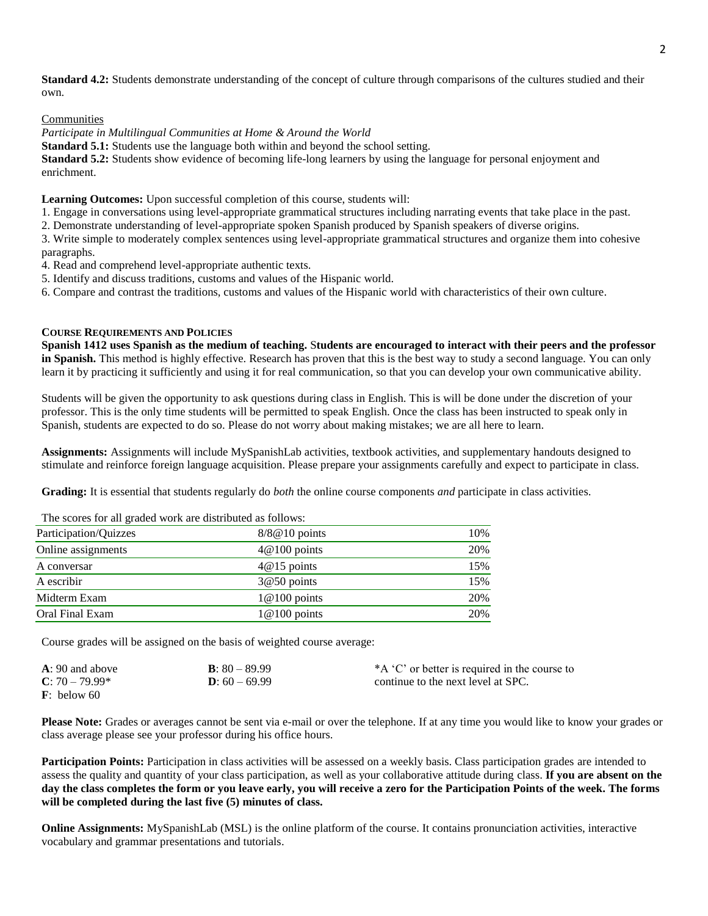**Standard 4.2:** Students demonstrate understanding of the concept of culture through comparisons of the cultures studied and their own.

Communities

*Participate in Multilingual Communities at Home & Around the World*

**Standard 5.1:** Students use the language both within and beyond the school setting.

**Standard 5.2:** Students show evidence of becoming life-long learners by using the language for personal enjoyment and enrichment.

**Learning Outcomes:** Upon successful completion of this course, students will:

1. Engage in conversations using level-appropriate grammatical structures including narrating events that take place in the past.

2. Demonstrate understanding of level-appropriate spoken Spanish produced by Spanish speakers of diverse origins.

3. Write simple to moderately complex sentences using level-appropriate grammatical structures and organize them into cohesive paragraphs.

4. Read and comprehend level-appropriate authentic texts.

5. Identify and discuss traditions, customs and values of the Hispanic world.

6. Compare and contrast the traditions, customs and values of the Hispanic world with characteristics of their own culture.

#### **COURSE REQUIREMENTS AND POLICIES**

**Spanish 1412 uses Spanish as the medium of teaching.** S**tudents are encouraged to interact with their peers and the professor in Spanish.** This method is highly effective. Research has proven that this is the best way to study a second language. You can only learn it by practicing it sufficiently and using it for real communication, so that you can develop your own communicative ability.

Students will be given the opportunity to ask questions during class in English. This is will be done under the discretion of your professor. This is the only time students will be permitted to speak English. Once the class has been instructed to speak only in Spanish, students are expected to do so. Please do not worry about making mistakes; we are all here to learn.

**Assignments:** Assignments will include MySpanishLab activities, textbook activities, and supplementary handouts designed to stimulate and reinforce foreign language acquisition. Please prepare your assignments carefully and expect to participate in class.

**Grading:** It is essential that students regularly do *both* the online course components *and* participate in class activities.

Participation/Quizzes 8/8@10 points 10% Online assignments  $4@100$  points  $20\%$ A conversar 15% and 15% and 15% and 15% and 15% and 15% and 15% and 15% and 15% and 15% and 15% and 15% and 15% and 15% and 15% and 15% and 15% and 15% and 15% and 15% and 15% and 15% and 15% and 15% and 15% and 15% and 15 A escribir 15% and 15% and 15% and 15% and 15% and 15% and 15% and 15% and 15% and 15% and 15% and 15% and 15%  $\sigma$ Midterm Exam 20% and 1 and 1 and 1 and 1 and 1 and 1 and 1 and 1 and 1 and 1 and 1 and 1 and 1 and 1 and 1 and 1 and 1 and 1 and 1 and 1 and 1 and 1 and 1 and 1 and 1 and 1 and 1 and 1 and 1 and 1 and 1 and 1 and 1 and 1 a Oral Final Exam 1@100 points 20%

The scores for all graded work are distributed as follows:

Course grades will be assigned on the basis of weighted course average:

| $A: 90$ and above       | <b>B</b> : $80 - 89.99$ | *A 'C' or better is required in the course to |
|-------------------------|-------------------------|-----------------------------------------------|
| $C: 70 - 79.99*$        | $D: 60 - 69.99$         | continue to the next level at SPC.            |
| $\mathbf{F}$ : below 60 |                         |                                               |

**Please Note:** Grades or averages cannot be sent via e-mail or over the telephone. If at any time you would like to know your grades or class average please see your professor during his office hours.

Participation Points: Participation in class activities will be assessed on a weekly basis. Class participation grades are intended to assess the quality and quantity of your class participation, as well as your collaborative attitude during class. **If you are absent on the day the class completes the form or you leave early, you will receive a zero for the Participation Points of the week. The forms will be completed during the last five (5) minutes of class.**

**Online Assignments:** MySpanishLab (MSL) is the online platform of the course. It contains pronunciation activities, interactive vocabulary and grammar presentations and tutorials.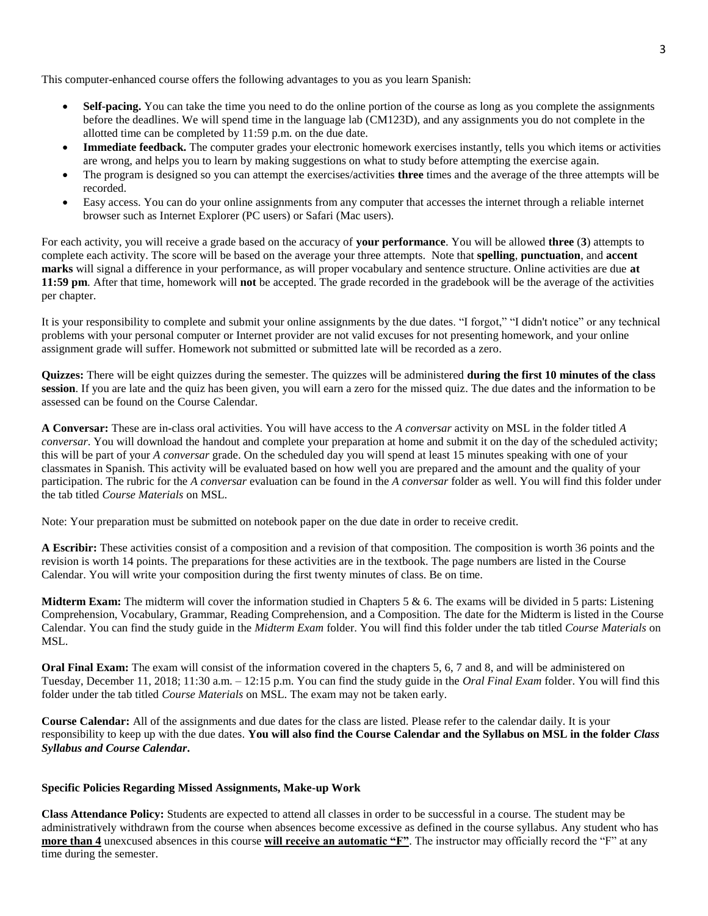This computer-enhanced course offers the following advantages to you as you learn Spanish:

- **Self-pacing.** You can take the time you need to do the online portion of the course as long as you complete the assignments before the deadlines. We will spend time in the language lab (CM123D), and any assignments you do not complete in the allotted time can be completed by 11:59 p.m. on the due date.
- **Immediate feedback.** The computer grades your electronic homework exercises instantly, tells you which items or activities are wrong, and helps you to learn by making suggestions on what to study before attempting the exercise again.
- The program is designed so you can attempt the exercises/activities **three** times and the average of the three attempts will be recorded.
- Easy access. You can do your online assignments from any computer that accesses the internet through a reliable internet browser such as Internet Explorer (PC users) or Safari (Mac users).

For each activity, you will receive a grade based on the accuracy of **your performance**. You will be allowed **three** (**3**) attempts to complete each activity. The score will be based on the average your three attempts. Note that **spelling**, **punctuation**, and **accent marks** will signal a difference in your performance, as will proper vocabulary and sentence structure. Online activities are due **at 11:59 pm**. After that time, homework will **not** be accepted. The grade recorded in the gradebook will be the average of the activities per chapter.

It is your responsibility to complete and submit your online assignments by the due dates. "I forgot," "I didn't notice" or any technical problems with your personal computer or Internet provider are not valid excuses for not presenting homework, and your online assignment grade will suffer. Homework not submitted or submitted late will be recorded as a zero.

**Quizzes:** There will be eight quizzes during the semester. The quizzes will be administered **during the first 10 minutes of the class session**. If you are late and the quiz has been given, you will earn a zero for the missed quiz. The due dates and the information to be assessed can be found on the Course Calendar.

**A Conversar:** These are in-class oral activities. You will have access to the *A conversar* activity on MSL in the folder titled *A conversar*. You will download the handout and complete your preparation at home and submit it on the day of the scheduled activity; this will be part of your *A conversar* grade. On the scheduled day you will spend at least 15 minutes speaking with one of your classmates in Spanish. This activity will be evaluated based on how well you are prepared and the amount and the quality of your participation. The rubric for the *A conversar* evaluation can be found in the *A conversar* folder as well. You will find this folder under the tab titled *Course Materials* on MSL.

Note: Your preparation must be submitted on notebook paper on the due date in order to receive credit.

**A Escribir:** These activities consist of a composition and a revision of that composition. The composition is worth 36 points and the revision is worth 14 points. The preparations for these activities are in the textbook. The page numbers are listed in the Course Calendar. You will write your composition during the first twenty minutes of class. Be on time.

**Midterm Exam:** The midterm will cover the information studied in Chapters 5 & 6. The exams will be divided in 5 parts: Listening Comprehension, Vocabulary, Grammar, Reading Comprehension, and a Composition. The date for the Midterm is listed in the Course Calendar. You can find the study guide in the *Midterm Exam* folder. You will find this folder under the tab titled *Course Materials* on MSL.

**Oral Final Exam:** The exam will consist of the information covered in the chapters 5, 6, 7 and 8, and will be administered on Tuesday, December 11, 2018; 11:30 a.m. – 12:15 p.m. You can find the study guide in the *Oral Final Exam* folder. You will find this folder under the tab titled *Course Materials* on MSL. The exam may not be taken early.

**Course Calendar:** All of the assignments and due dates for the class are listed. Please refer to the calendar daily. It is your responsibility to keep up with the due dates. **You will also find the Course Calendar and the Syllabus on MSL in the folder** *Class Syllabus and Course Calendar***.** 

#### **Specific Policies Regarding Missed Assignments, Make-up Work**

**Class Attendance Policy:** Students are expected to attend all classes in order to be successful in a course. The student may be administratively withdrawn from the course when absences become excessive as defined in the course syllabus. Any student who has **more than 4** unexcused absences in this course **will receive an automatic "F"**. The instructor may officially record the "F" at any time during the semester.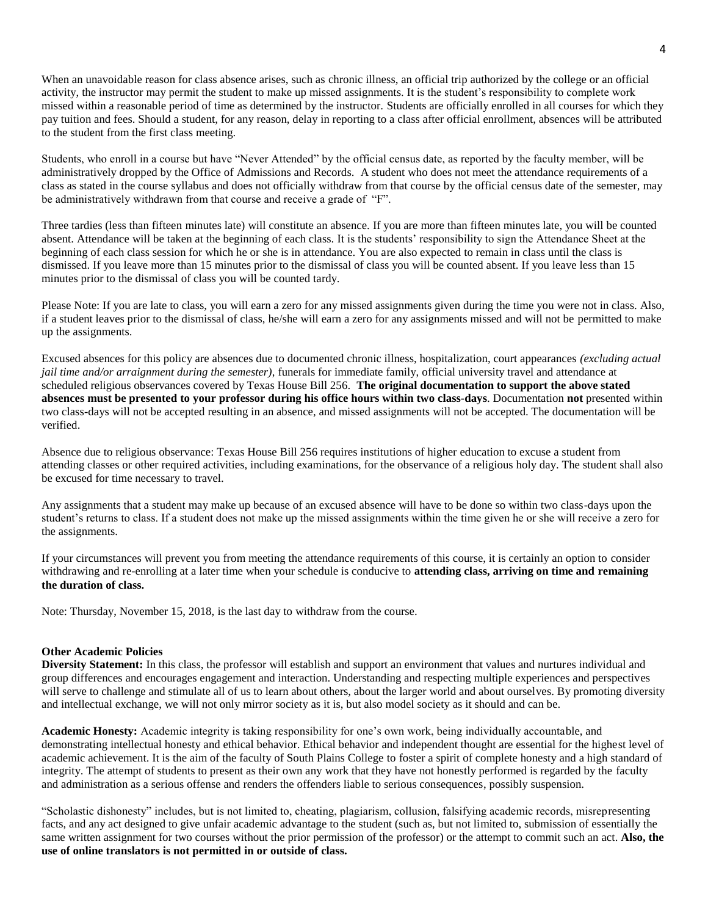When an unavoidable reason for class absence arises, such as chronic illness, an official trip authorized by the college or an official activity, the instructor may permit the student to make up missed assignments. It is the student's responsibility to complete work missed within a reasonable period of time as determined by the instructor. Students are officially enrolled in all courses for which they pay tuition and fees. Should a student, for any reason, delay in reporting to a class after official enrollment, absences will be attributed to the student from the first class meeting.

Students, who enroll in a course but have "Never Attended" by the official census date, as reported by the faculty member, will be administratively dropped by the Office of Admissions and Records. A student who does not meet the attendance requirements of a class as stated in the course syllabus and does not officially withdraw from that course by the official census date of the semester, may be administratively withdrawn from that course and receive a grade of "F".

Three tardies (less than fifteen minutes late) will constitute an absence. If you are more than fifteen minutes late, you will be counted absent. Attendance will be taken at the beginning of each class. It is the students' responsibility to sign the Attendance Sheet at the beginning of each class session for which he or she is in attendance. You are also expected to remain in class until the class is dismissed. If you leave more than 15 minutes prior to the dismissal of class you will be counted absent. If you leave less than 15 minutes prior to the dismissal of class you will be counted tardy.

Please Note: If you are late to class, you will earn a zero for any missed assignments given during the time you were not in class. Also, if a student leaves prior to the dismissal of class, he/she will earn a zero for any assignments missed and will not be permitted to make up the assignments.

Excused absences for this policy are absences due to documented chronic illness, hospitalization, court appearances *(excluding actual jail time and/or arraignment during the semester)*, funerals for immediate family, official university travel and attendance at scheduled religious observances covered by Texas House Bill 256. **The original documentation to support the above stated absences must be presented to your professor during his office hours within two class-days**. Documentation **not** presented within two class-days will not be accepted resulting in an absence, and missed assignments will not be accepted. The documentation will be verified.

Absence due to religious observance: Texas House Bill 256 requires institutions of higher education to excuse a student from attending classes or other required activities, including examinations, for the observance of a religious holy day. The student shall also be excused for time necessary to travel.

Any assignments that a student may make up because of an excused absence will have to be done so within two class-days upon the student's returns to class. If a student does not make up the missed assignments within the time given he or she will receive a zero for the assignments.

If your circumstances will prevent you from meeting the attendance requirements of this course, it is certainly an option to consider withdrawing and re-enrolling at a later time when your schedule is conducive to **attending class, arriving on time and remaining the duration of class.**

Note: Thursday, November 15, 2018, is the last day to withdraw from the course.

#### **Other Academic Policies**

**Diversity Statement:** In this class, the professor will establish and support an environment that values and nurtures individual and group differences and encourages engagement and interaction. Understanding and respecting multiple experiences and perspectives will serve to challenge and stimulate all of us to learn about others, about the larger world and about ourselves. By promoting diversity and intellectual exchange, we will not only mirror society as it is, but also model society as it should and can be.

**Academic Honesty:** Academic integrity is taking responsibility for one's own work, being individually accountable, and demonstrating intellectual honesty and ethical behavior. Ethical behavior and independent thought are essential for the highest level of academic achievement. It is the aim of the faculty of South Plains College to foster a spirit of complete honesty and a high standard of integrity. The attempt of students to present as their own any work that they have not honestly performed is regarded by the faculty and administration as a serious offense and renders the offenders liable to serious consequences, possibly suspension.

"Scholastic dishonesty" includes, but is not limited to, cheating, plagiarism, collusion, falsifying academic records, misrepresenting facts, and any act designed to give unfair academic advantage to the student (such as, but not limited to, submission of essentially the same written assignment for two courses without the prior permission of the professor) or the attempt to commit such an act. **Also, the use of online translators is not permitted in or outside of class.**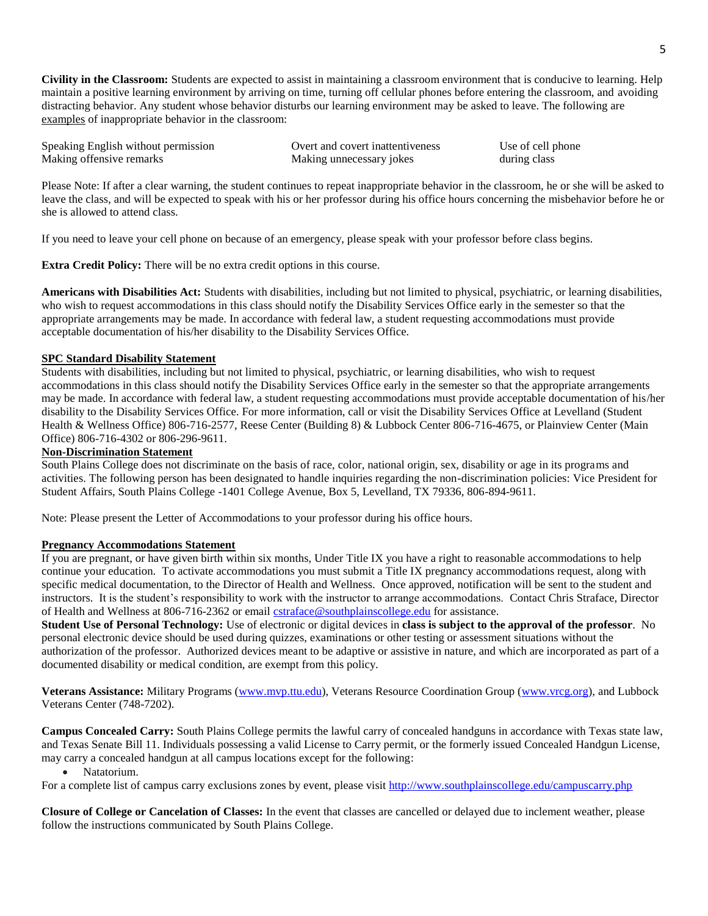**Civility in the Classroom:** Students are expected to assist in maintaining a classroom environment that is conducive to learning. Help maintain a positive learning environment by arriving on time, turning off cellular phones before entering the classroom, and avoiding distracting behavior. Any student whose behavior disturbs our learning environment may be asked to leave. The following are examples of inappropriate behavior in the classroom:

| Speaking English without permission | Overt and covert inattentiveness | Use of cell phone |
|-------------------------------------|----------------------------------|-------------------|
| Making offensive remarks            | Making unnecessary jokes         | during class      |

Please Note: If after a clear warning, the student continues to repeat inappropriate behavior in the classroom, he or she will be asked to leave the class, and will be expected to speak with his or her professor during his office hours concerning the misbehavior before he or she is allowed to attend class.

If you need to leave your cell phone on because of an emergency, please speak with your professor before class begins.

**Extra Credit Policy:** There will be no extra credit options in this course.

**Americans with Disabilities Act:** Students with disabilities, including but not limited to physical, psychiatric, or learning disabilities, who wish to request accommodations in this class should notify the Disability Services Office early in the semester so that the appropriate arrangements may be made. In accordance with federal law, a student requesting accommodations must provide acceptable documentation of his/her disability to the Disability Services Office.

### **SPC Standard Disability Statement**

Students with disabilities, including but not limited to physical, psychiatric, or learning disabilities, who wish to request accommodations in this class should notify the Disability Services Office early in the semester so that the appropriate arrangements may be made. In accordance with federal law, a student requesting accommodations must provide acceptable documentation of his/her disability to the Disability Services Office. For more information, call or visit the Disability Services Office at Levelland (Student Health & Wellness Office) 806-716-2577, Reese Center (Building 8) & Lubbock Center 806-716-4675, or Plainview Center (Main Office) 806-716-4302 or 806-296-9611.

### **Non-Discrimination Statement**

South Plains College does not discriminate on the basis of race, color, national origin, sex, disability or age in its programs and activities. The following person has been designated to handle inquiries regarding the non-discrimination policies: Vice President for Student Affairs, South Plains College -1401 College Avenue, Box 5, Levelland, TX 79336, 806-894-9611.

Note: Please present the Letter of Accommodations to your professor during his office hours.

#### **Pregnancy Accommodations Statement**

If you are pregnant, or have given birth within six months, Under Title IX you have a right to reasonable accommodations to help continue your education. To activate accommodations you must submit a Title IX pregnancy accommodations request, along with specific medical documentation, to the Director of Health and Wellness. Once approved, notification will be sent to the student and instructors. It is the student's responsibility to work with the instructor to arrange accommodations. Contact Chris Straface, Director of Health and Wellness at 806-716-2362 or email *[cstraface@southplainscollege.edu](mailto:cstraface@southplainscollege.edu)* for assistance.

**Student Use of Personal Technology:** Use of electronic or digital devices in **class is subject to the approval of the professor**. No personal electronic device should be used during quizzes, examinations or other testing or assessment situations without the authorization of the professor. Authorized devices meant to be adaptive or assistive in nature, and which are incorporated as part of a documented disability or medical condition, are exempt from this policy.

**Veterans Assistance:** Military Programs [\(www.mvp.ttu.edu\)](http://www.mvp.ttu.edu/), Veterans Resource Coordination Group [\(www.vrcg.org\)](http://www.vrcg.org/), and Lubbock Veterans Center (748-7202).

**Campus Concealed Carry:** South Plains College permits the lawful carry of concealed handguns in accordance with Texas state law, and Texas Senate Bill 11. Individuals possessing a valid License to Carry permit, or the formerly issued Concealed Handgun License, may carry a concealed handgun at all campus locations except for the following:

Natatorium.

For a complete list of campus carry exclusions zones by event, please visit<http://www.southplainscollege.edu/campuscarry.php>

**Closure of College or Cancelation of Classes:** In the event that classes are cancelled or delayed due to inclement weather, please follow the instructions communicated by South Plains College.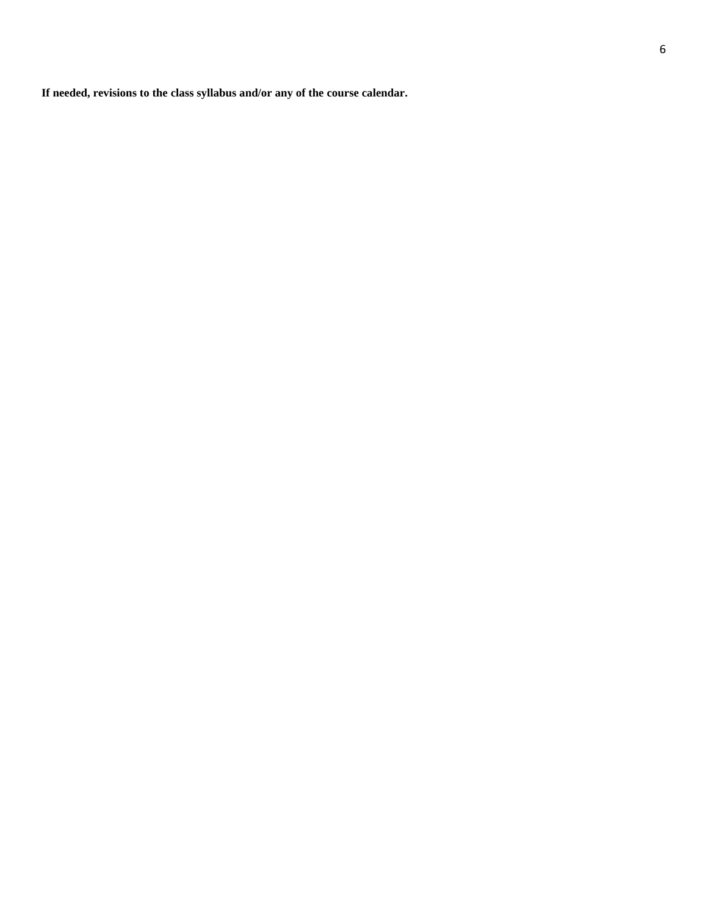**If needed, revisions to the class syllabus and/or any of the course calendar.**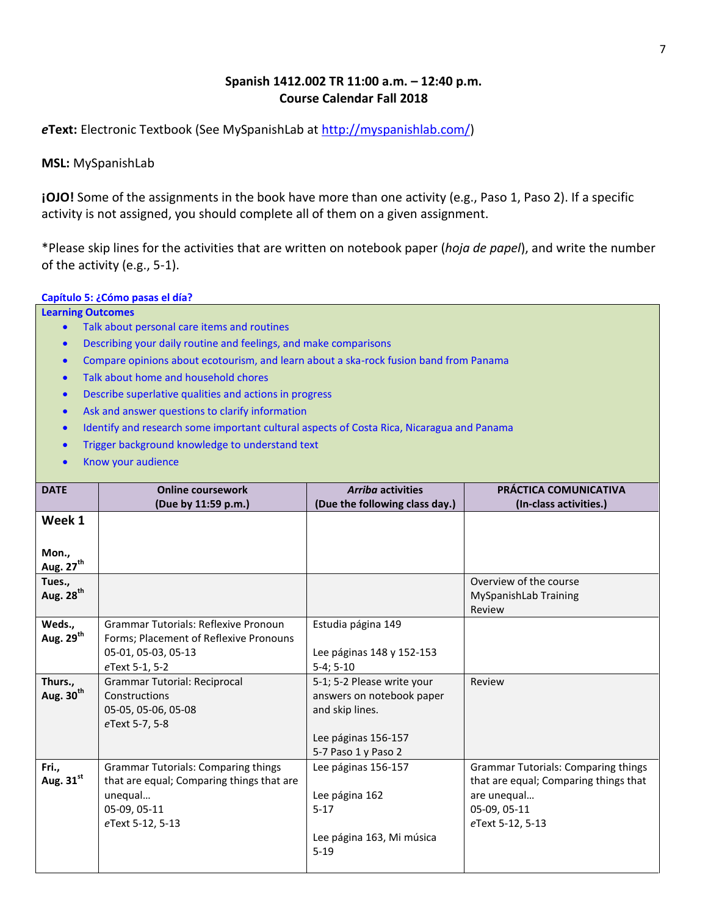# **Spanish 1412.002 TR 11:00 a.m. – 12:40 p.m. Course Calendar Fall 2018**

*e***Text:** Electronic Textbook (See MySpanishLab at [http://myspanishlab.com/\)](http://myspanishlab.com/)

**MSL:** MySpanishLab

**iOJO!** Some of the assignments in the book have more than one activity (e.g., Paso 1, Paso 2). If a specific activity is not assigned, you should complete all of them on a given assignment.

\*Please skip lines for the activities that are written on notebook paper (*hoja de papel*), and write the number of the activity (e.g., 5-1).

## **Capítulo 5: ¿Cómo pasas el día?**

**Learning Outcomes** 

- Talk about personal care items and routines
- Describing your daily routine and feelings, and make comparisons
- Compare opinions about ecotourism, and learn about a ska-rock fusion band from Panama
- Talk about home and household chores
- Describe superlative qualities and actions in progress
- Ask and answer questions to clarify information
- Identify and research some important cultural aspects of Costa Rica, Nicaragua and Panama
- **•** Trigger background knowledge to understand text
- Know your audience

| <b>DATE</b>           | <b>Online coursework</b>                    | <b>Arriba activities</b>       | PRÁCTICA COMUNICATIVA                      |
|-----------------------|---------------------------------------------|--------------------------------|--------------------------------------------|
|                       | (Due by 11:59 p.m.)                         | (Due the following class day.) | (In-class activities.)                     |
| Week 1                |                                             |                                |                                            |
|                       |                                             |                                |                                            |
| Mon.,                 |                                             |                                |                                            |
| Aug. 27 <sup>th</sup> |                                             |                                |                                            |
| Tues.,                |                                             |                                | Overview of the course                     |
| Aug. 28 <sup>th</sup> |                                             |                                | MySpanishLab Training                      |
|                       |                                             |                                | Review                                     |
| Weds.,                | <b>Grammar Tutorials: Reflexive Pronoun</b> | Estudia página 149             |                                            |
| Aug. 29 <sup>th</sup> | Forms; Placement of Reflexive Pronouns      |                                |                                            |
|                       | 05-01, 05-03, 05-13                         | Lee páginas 148 y 152-153      |                                            |
|                       | eText 5-1, 5-2                              | $5-4; 5-10$                    |                                            |
| Thurs.,               | <b>Grammar Tutorial: Reciprocal</b>         | 5-1; 5-2 Please write your     | Review                                     |
| Aug. 30 <sup>th</sup> | <b>Constructions</b>                        | answers on notebook paper      |                                            |
|                       | 05-05, 05-06, 05-08                         | and skip lines.                |                                            |
|                       | eText 5-7, 5-8                              |                                |                                            |
|                       |                                             | Lee páginas 156-157            |                                            |
|                       |                                             | 5-7 Paso 1 y Paso 2            |                                            |
| Fri.,                 | <b>Grammar Tutorials: Comparing things</b>  | Lee páginas 156-157            | <b>Grammar Tutorials: Comparing things</b> |
| Aug. 31st             | that are equal; Comparing things that are   |                                | that are equal; Comparing things that      |
|                       | unequal                                     | Lee página 162                 | are unequal                                |
|                       | 05-09, 05-11                                | $5 - 17$                       | 05-09, 05-11                               |
|                       | eText 5-12, 5-13                            |                                | eText 5-12, 5-13                           |
|                       |                                             | Lee página 163, Mi música      |                                            |
|                       |                                             | $5 - 19$                       |                                            |
|                       |                                             |                                |                                            |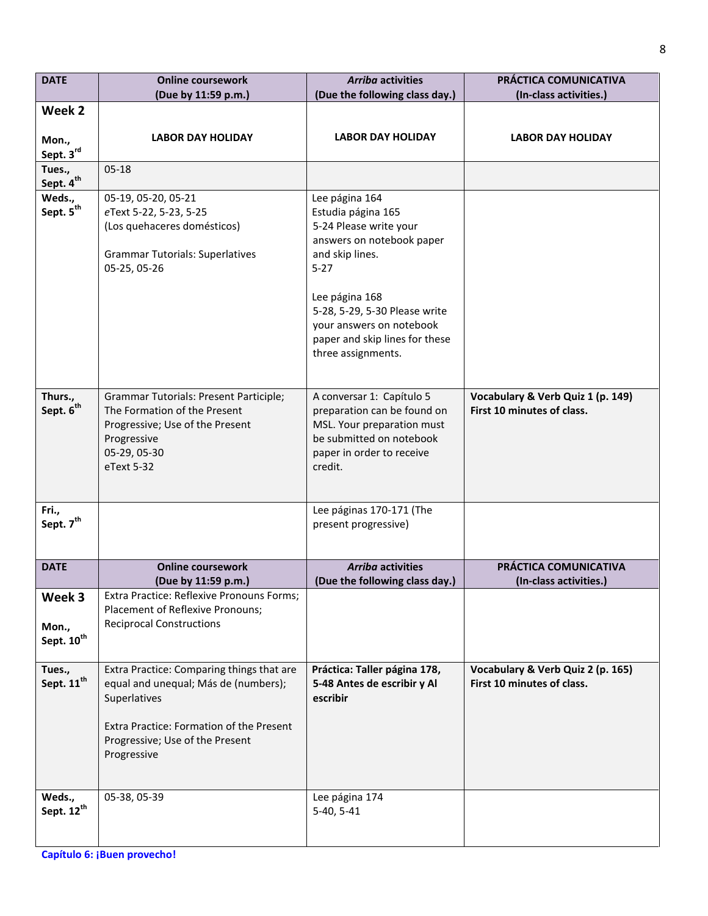| <b>DATE</b>                      | <b>Online coursework</b>                                                          | <b>Arriba activities</b>                                    | PRÁCTICA COMUNICATIVA                                           |
|----------------------------------|-----------------------------------------------------------------------------------|-------------------------------------------------------------|-----------------------------------------------------------------|
|                                  | (Due by 11:59 p.m.)                                                               | (Due the following class day.)                              | (In-class activities.)                                          |
| Week 2                           |                                                                                   |                                                             |                                                                 |
| Mon.,                            | <b>LABOR DAY HOLIDAY</b>                                                          | <b>LABOR DAY HOLIDAY</b>                                    | <b>LABOR DAY HOLIDAY</b>                                        |
| Sept. 3rd                        |                                                                                   |                                                             |                                                                 |
| Tues.,<br>Sept. 4 <sup>th</sup>  | $05-18$                                                                           |                                                             |                                                                 |
| Weds.,                           | 05-19, 05-20, 05-21                                                               | Lee página 164                                              |                                                                 |
| Sept. $5^{\text{th}}$            | eText 5-22, 5-23, 5-25                                                            | Estudia página 165                                          |                                                                 |
|                                  | (Los quehaceres domésticos)                                                       | 5-24 Please write your<br>answers on notebook paper         |                                                                 |
|                                  | <b>Grammar Tutorials: Superlatives</b>                                            | and skip lines.                                             |                                                                 |
|                                  | 05-25, 05-26                                                                      | $5 - 27$                                                    |                                                                 |
|                                  |                                                                                   |                                                             |                                                                 |
|                                  |                                                                                   | Lee página 168                                              |                                                                 |
|                                  |                                                                                   | 5-28, 5-29, 5-30 Please write<br>your answers on notebook   |                                                                 |
|                                  |                                                                                   | paper and skip lines for these                              |                                                                 |
|                                  |                                                                                   | three assignments.                                          |                                                                 |
|                                  |                                                                                   |                                                             |                                                                 |
| Thurs.,                          | Grammar Tutorials: Present Participle;                                            | A conversar 1: Capítulo 5                                   | Vocabulary & Verb Quiz 1 (p. 149)                               |
| Sept. 6 <sup>th</sup>            | The Formation of the Present                                                      | preparation can be found on                                 | First 10 minutes of class.                                      |
|                                  | Progressive; Use of the Present                                                   | MSL. Your preparation must                                  |                                                                 |
|                                  | Progressive                                                                       | be submitted on notebook                                    |                                                                 |
|                                  | 05-29, 05-30<br>eText 5-32                                                        | paper in order to receive<br>credit.                        |                                                                 |
|                                  |                                                                                   |                                                             |                                                                 |
|                                  |                                                                                   |                                                             |                                                                 |
| Fri.,<br>Sept. 7 <sup>th</sup>   |                                                                                   | Lee páginas 170-171 (The                                    |                                                                 |
|                                  |                                                                                   | present progressive)                                        |                                                                 |
|                                  |                                                                                   |                                                             |                                                                 |
| <b>DATE</b>                      | <b>Online coursework</b>                                                          | <b>Arriba activities</b>                                    | PRÁCTICA COMUNICATIVA                                           |
| Week 3                           | (Due by 11:59 p.m.)<br>Extra Practice: Reflexive Pronouns Forms;                  | (Due the following class day.)                              | (In-class activities.)                                          |
|                                  | Placement of Reflexive Pronouns;                                                  |                                                             |                                                                 |
| Mon.,                            | <b>Reciprocal Constructions</b>                                                   |                                                             |                                                                 |
| Sept. 10 <sup>th</sup>           |                                                                                   |                                                             |                                                                 |
|                                  |                                                                                   |                                                             |                                                                 |
| Tues.,<br>Sept. 11 <sup>th</sup> | Extra Practice: Comparing things that are<br>equal and unequal; Más de (numbers); | Práctica: Taller página 178,<br>5-48 Antes de escribir y Al | Vocabulary & Verb Quiz 2 (p. 165)<br>First 10 minutes of class. |
|                                  | Superlatives                                                                      | escribir                                                    |                                                                 |
|                                  |                                                                                   |                                                             |                                                                 |
|                                  | Extra Practice: Formation of the Present                                          |                                                             |                                                                 |
|                                  | Progressive; Use of the Present                                                   |                                                             |                                                                 |
|                                  | Progressive                                                                       |                                                             |                                                                 |
|                                  |                                                                                   |                                                             |                                                                 |
| Weds.,                           | 05-38, 05-39                                                                      | Lee página 174                                              |                                                                 |
| Sept. 12 <sup>th</sup>           |                                                                                   | 5-40, 5-41                                                  |                                                                 |
|                                  |                                                                                   |                                                             |                                                                 |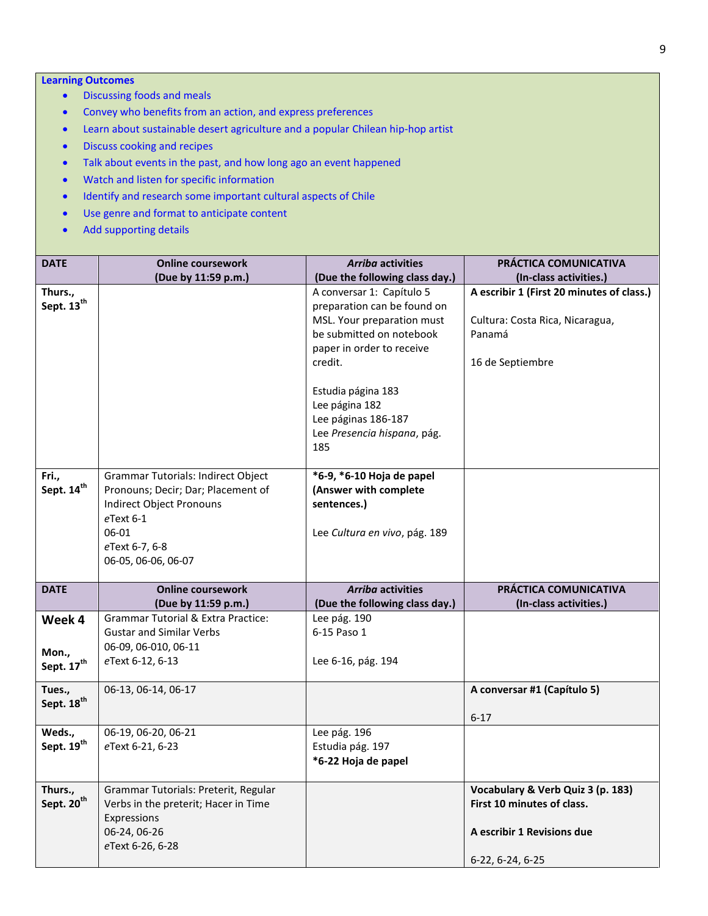### **Learning Outcomes**

- Discussing foods and meals
- Convey who benefits from an action, and express preferences
- Learn about sustainable desert agriculture and a popular Chilean hip-hop artist
- Discuss cooking and recipes
- Talk about events in the past, and how long ago an event happened
- Watch and listen for specific information
- Identify and research some important cultural aspects of Chile
- Use genre and format to anticipate content
- Add supporting details

| <b>DATE</b>                               | <b>Online coursework</b>                                                                                                                                            | <b>Arriba activities</b>                                                                                                                                                                                                                                        | PRÁCTICA COMUNICATIVA                                                                                             |
|-------------------------------------------|---------------------------------------------------------------------------------------------------------------------------------------------------------------------|-----------------------------------------------------------------------------------------------------------------------------------------------------------------------------------------------------------------------------------------------------------------|-------------------------------------------------------------------------------------------------------------------|
|                                           | (Due by 11:59 p.m.)                                                                                                                                                 | (Due the following class day.)                                                                                                                                                                                                                                  | (In-class activities.)                                                                                            |
| Thurs.,<br>Sept. 13 <sup>th</sup>         |                                                                                                                                                                     | A conversar 1: Capítulo 5<br>preparation can be found on<br>MSL. Your preparation must<br>be submitted on notebook<br>paper in order to receive<br>credit.<br>Estudia página 183<br>Lee página 182<br>Lee páginas 186-187<br>Lee Presencia hispana, pág.<br>185 | A escribir 1 (First 20 minutes of class.)<br>Cultura: Costa Rica, Nicaragua,<br>Panamá<br>16 de Septiembre        |
| Fri.,<br>Sept. 14 <sup>th</sup>           | Grammar Tutorials: Indirect Object<br>Pronouns; Decir; Dar; Placement of<br>Indirect Object Pronouns<br>eText 6-1<br>06-01<br>eText 6-7, 6-8<br>06-05, 06-06, 06-07 | *6-9, *6-10 Hoja de papel<br>(Answer with complete<br>sentences.)<br>Lee Cultura en vivo, pág. 189                                                                                                                                                              |                                                                                                                   |
| <b>DATE</b>                               | <b>Online coursework</b>                                                                                                                                            | <b>Arriba activities</b>                                                                                                                                                                                                                                        | PRÁCTICA COMUNICATIVA                                                                                             |
|                                           | (Due by 11:59 p.m.)                                                                                                                                                 | (Due the following class day.)                                                                                                                                                                                                                                  | (In-class activities.)                                                                                            |
| Week 4<br>Mon.,<br>Sept. 17 <sup>th</sup> | <b>Grammar Tutorial &amp; Extra Practice:</b><br><b>Gustar and Similar Verbs</b><br>06-09, 06-010, 06-11<br>eText 6-12, 6-13                                        | Lee pág. 190<br>6-15 Paso 1<br>Lee 6-16, pág. 194                                                                                                                                                                                                               |                                                                                                                   |
| Tues.,<br>Sept. 18 <sup>th</sup>          | 06-13, 06-14, 06-17                                                                                                                                                 |                                                                                                                                                                                                                                                                 | A conversar #1 (Capítulo 5)<br>$6 - 17$                                                                           |
| Weds.,<br>Sept. 19th                      | 06-19, 06-20, 06-21<br>eText 6-21, 6-23                                                                                                                             | Lee pág. 196<br>Estudia pág. 197<br>*6-22 Hoja de papel                                                                                                                                                                                                         |                                                                                                                   |
| Thurs.,<br>Sept. 20 <sup>th</sup>         | Grammar Tutorials: Preterit, Regular<br>Verbs in the preterit; Hacer in Time<br>Expressions<br>06-24, 06-26<br>eText 6-26, 6-28                                     |                                                                                                                                                                                                                                                                 | Vocabulary & Verb Quiz 3 (p. 183)<br>First 10 minutes of class.<br>A escribir 1 Revisions due<br>6-22, 6-24, 6-25 |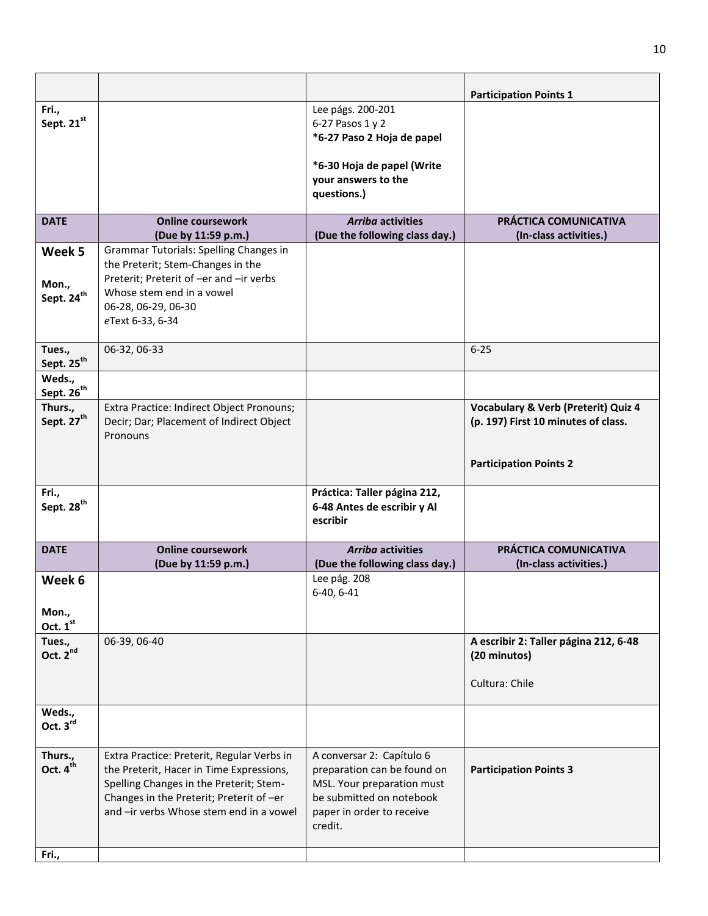|                                          |                                                                                                                                                                                                                          |                                                                                                                                                            | <b>Participation Points 1</b>                                                         |
|------------------------------------------|--------------------------------------------------------------------------------------------------------------------------------------------------------------------------------------------------------------------------|------------------------------------------------------------------------------------------------------------------------------------------------------------|---------------------------------------------------------------------------------------|
| Fri.,<br>Sept. 21 <sup>st</sup>          |                                                                                                                                                                                                                          | Lee págs. 200-201<br>6-27 Pasos 1 y 2<br>*6-27 Paso 2 Hoja de papel                                                                                        |                                                                                       |
|                                          |                                                                                                                                                                                                                          | *6-30 Hoja de papel (Write<br>your answers to the<br>questions.)                                                                                           |                                                                                       |
| <b>DATE</b>                              | <b>Online coursework</b><br>(Due by 11:59 p.m.)                                                                                                                                                                          | <b>Arriba activities</b><br>(Due the following class day.)                                                                                                 | PRÁCTICA COMUNICATIVA<br>(In-class activities.)                                       |
| Week 5                                   | Grammar Tutorials: Spelling Changes in<br>the Preterit; Stem-Changes in the                                                                                                                                              |                                                                                                                                                            |                                                                                       |
| Mon.,<br>Sept. 24 <sup>th</sup>          | Preterit; Preterit of -er and -ir verbs<br>Whose stem end in a vowel<br>06-28, 06-29, 06-30<br>eText 6-33, 6-34                                                                                                          |                                                                                                                                                            |                                                                                       |
| Tues.,<br>Sept. 25 <sup>th</sup>         | 06-32, 06-33                                                                                                                                                                                                             |                                                                                                                                                            | $6 - 25$                                                                              |
| Weds.,<br>Sept. 26 <sup>th</sup>         |                                                                                                                                                                                                                          |                                                                                                                                                            |                                                                                       |
| Thurs.,<br>Sept. 27 <sup>th</sup>        | Extra Practice: Indirect Object Pronouns;<br>Decir; Dar; Placement of Indirect Object<br>Pronouns                                                                                                                        |                                                                                                                                                            | <b>Vocabulary &amp; Verb (Preterit) Quiz 4</b><br>(p. 197) First 10 minutes of class. |
|                                          |                                                                                                                                                                                                                          |                                                                                                                                                            | <b>Participation Points 2</b>                                                         |
| Fri.,<br>Sept. 28 <sup>th</sup>          |                                                                                                                                                                                                                          | Práctica: Taller página 212,<br>6-48 Antes de escribir y Al<br>escribir                                                                                    |                                                                                       |
| <b>DATE</b>                              | <b>Online coursework</b><br>(Due by 11:59 p.m.)                                                                                                                                                                          | <b>Arriba activities</b><br>(Due the following class day.)                                                                                                 | PRÁCTICA COMUNICATIVA<br>(In-class activities.)                                       |
| Week 6<br>Mon.,                          |                                                                                                                                                                                                                          | Lee pág. 208<br>6-40, 6-41                                                                                                                                 |                                                                                       |
| Oct. 1st                                 |                                                                                                                                                                                                                          |                                                                                                                                                            |                                                                                       |
| Tues.,<br>Oct. 2 <sup>nd</sup>           | 06-39, 06-40                                                                                                                                                                                                             |                                                                                                                                                            | A escribir 2: Taller página 212, 6-48<br>(20 minutos)                                 |
|                                          |                                                                                                                                                                                                                          |                                                                                                                                                            | Cultura: Chile                                                                        |
| Weds.,<br>Oct. 3rd                       |                                                                                                                                                                                                                          |                                                                                                                                                            |                                                                                       |
| Thurs.,<br>Oct. 4 <sup>th</sup><br>Fri., | Extra Practice: Preterit, Regular Verbs in<br>the Preterit, Hacer in Time Expressions,<br>Spelling Changes in the Preterit; Stem-<br>Changes in the Preterit; Preterit of -er<br>and -ir verbs Whose stem end in a vowel | A conversar 2: Capítulo 6<br>preparation can be found on<br>MSL. Your preparation must<br>be submitted on notebook<br>paper in order to receive<br>credit. | <b>Participation Points 3</b>                                                         |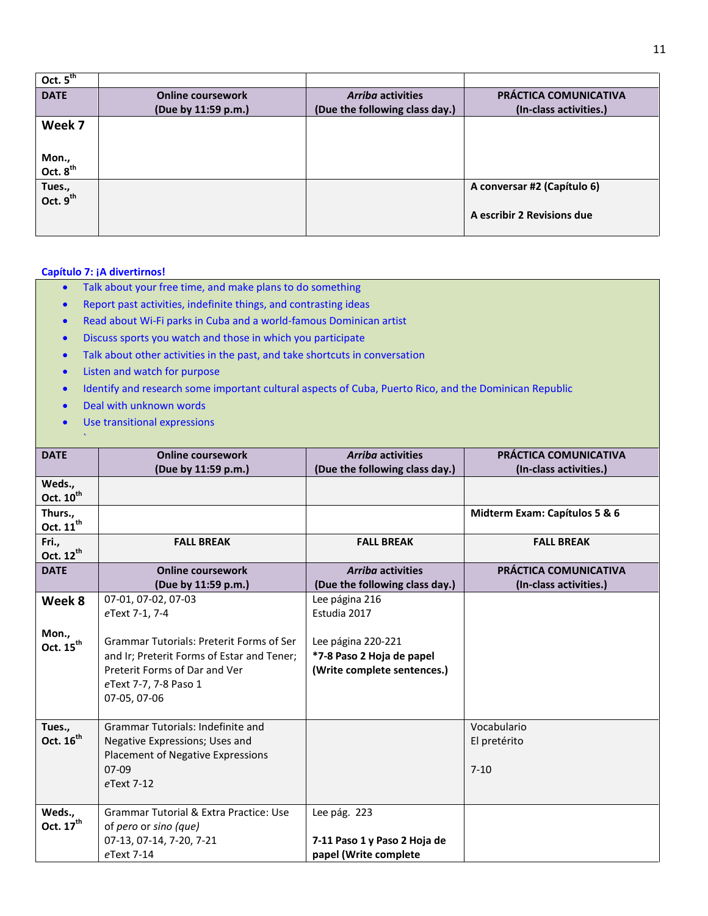| Oct. $5th$                     |                          |                                |                              |
|--------------------------------|--------------------------|--------------------------------|------------------------------|
| <b>DATE</b>                    | <b>Online coursework</b> | <b>Arriba activities</b>       | <b>PRÁCTICA COMUNICATIVA</b> |
|                                | (Due by 11:59 p.m.)      | (Due the following class day.) | (In-class activities.)       |
| Week 7                         |                          |                                |                              |
|                                |                          |                                |                              |
| Mon.,                          |                          |                                |                              |
| Oct. 8 <sup>th</sup>           |                          |                                |                              |
| Tues.,<br>Oct. 9 <sup>th</sup> |                          |                                | A conversar #2 (Capítulo 6)  |
|                                |                          |                                |                              |
|                                |                          |                                | A escribir 2 Revisions due   |
|                                |                          |                                |                              |

## **Capítulo 7: ¡A divertirnos!**

 $\mathbf{x}_i$ 

- Talk about your free time, and make plans to do something
- Report past activities, indefinite things, and contrasting ideas
- Read about Wi-Fi parks in Cuba and a world-famous Dominican artist
- Discuss sports you watch and those in which you participate
- Talk about other activities in the past, and take shortcuts in conversation
- Listen and watch for purpose
- Identify and research some important cultural aspects of Cuba, Puerto Rico, and the Dominican Republic
- Deal with unknown words
- Use transitional expressions

| <b>DATE</b>           | <b>Online coursework</b>                        | <b>Arriba activities</b>       | <b>PRÁCTICA COMUNICATIVA</b>  |
|-----------------------|-------------------------------------------------|--------------------------------|-------------------------------|
|                       | (Due by 11:59 p.m.)                             | (Due the following class day.) | (In-class activities.)        |
| Weds.,                |                                                 |                                |                               |
| Oct. 10 <sup>th</sup> |                                                 |                                |                               |
| Thurs.,               |                                                 |                                | Midterm Exam: Capítulos 5 & 6 |
| Oct. 11 <sup>th</sup> |                                                 |                                |                               |
|                       |                                                 |                                |                               |
| Fri.,                 | <b>FALL BREAK</b>                               | <b>FALL BREAK</b>              | <b>FALL BREAK</b>             |
| Oct. 12 <sup>th</sup> |                                                 |                                |                               |
| <b>DATE</b>           | <b>Online coursework</b>                        | <b>Arriba activities</b>       | PRÁCTICA COMUNICATIVA         |
|                       | (Due by 11:59 p.m.)                             | (Due the following class day.) | (In-class activities.)        |
| Week 8                | 07-01, 07-02, 07-03                             | Lee página 216                 |                               |
|                       | eText 7-1, 7-4                                  | Estudia 2017                   |                               |
|                       |                                                 |                                |                               |
| Mon.,                 | <b>Grammar Tutorials: Preterit Forms of Ser</b> | Lee página 220-221             |                               |
| Oct. 15 <sup>th</sup> |                                                 |                                |                               |
|                       | and Ir; Preterit Forms of Estar and Tener;      | *7-8 Paso 2 Hoja de papel      |                               |
|                       | Preterit Forms of Dar and Ver                   | (Write complete sentences.)    |                               |
|                       | eText 7-7, 7-8 Paso 1                           |                                |                               |
|                       | 07-05, 07-06                                    |                                |                               |
|                       |                                                 |                                |                               |
| Tues.,                | <b>Grammar Tutorials: Indefinite and</b>        |                                | Vocabulario                   |
| Oct. 16 <sup>th</sup> | Negative Expressions; Uses and                  |                                | El pretérito                  |
|                       | <b>Placement of Negative Expressions</b>        |                                |                               |
|                       | $07-09$                                         |                                | $7 - 10$                      |
|                       |                                                 |                                |                               |
|                       | eText 7-12                                      |                                |                               |
|                       |                                                 |                                |                               |
| Weds.,                | Grammar Tutorial & Extra Practice: Use          | Lee pág. 223                   |                               |
| Oct. $17^{\text{th}}$ | of pero or sino (que)                           |                                |                               |
|                       | 07-13, 07-14, 7-20, 7-21                        | 7-11 Paso 1 y Paso 2 Hoja de   |                               |
|                       | eText 7-14                                      | papel (Write complete          |                               |
|                       |                                                 |                                |                               |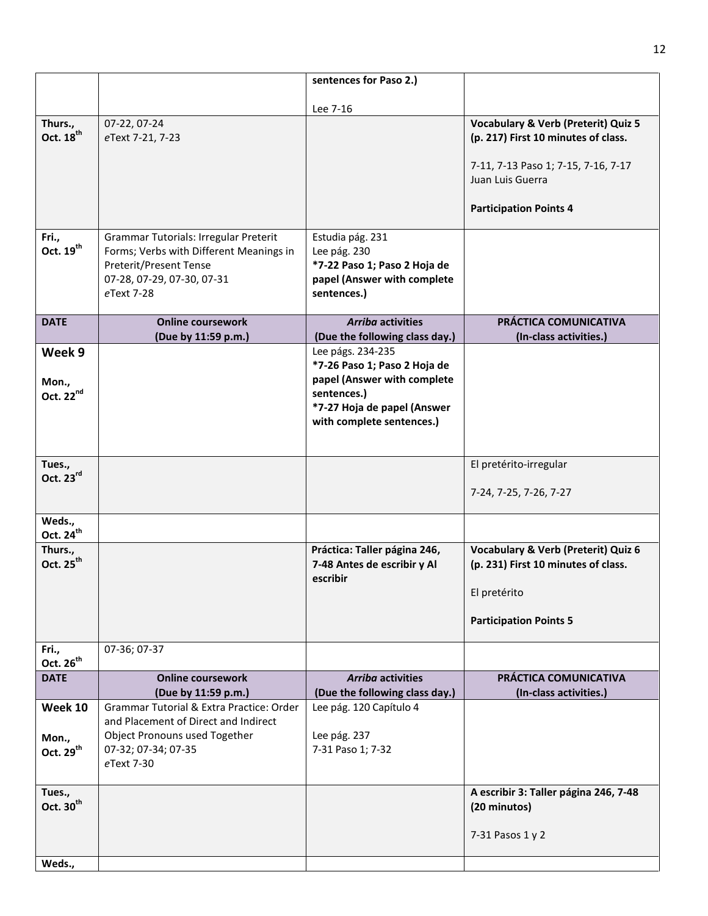|                                           |                                                                                                                                                        | sentences for Paso 2.)                                                                                                                                      |                                                                                                                                                                                   |
|-------------------------------------------|--------------------------------------------------------------------------------------------------------------------------------------------------------|-------------------------------------------------------------------------------------------------------------------------------------------------------------|-----------------------------------------------------------------------------------------------------------------------------------------------------------------------------------|
|                                           |                                                                                                                                                        | Lee 7-16                                                                                                                                                    |                                                                                                                                                                                   |
| Thurs.,<br>Oct. 18 <sup>th</sup>          | 07-22, 07-24<br>eText 7-21, 7-23                                                                                                                       |                                                                                                                                                             | <b>Vocabulary &amp; Verb (Preterit) Quiz 5</b><br>(p. 217) First 10 minutes of class.<br>7-11, 7-13 Paso 1; 7-15, 7-16, 7-17<br>Juan Luis Guerra<br><b>Participation Points 4</b> |
| Fri.,<br>Oct. 19 <sup>th</sup>            | Grammar Tutorials: Irregular Preterit<br>Forms; Verbs with Different Meanings in<br>Preterit/Present Tense<br>07-28, 07-29, 07-30, 07-31<br>eText 7-28 | Estudia pág. 231<br>Lee pág. 230<br>*7-22 Paso 1; Paso 2 Hoja de<br>papel (Answer with complete<br>sentences.)                                              |                                                                                                                                                                                   |
| <b>DATE</b>                               | <b>Online coursework</b><br>(Due by 11:59 p.m.)                                                                                                        | <b>Arriba activities</b><br>(Due the following class day.)                                                                                                  | PRÁCTICA COMUNICATIVA<br>(In-class activities.)                                                                                                                                   |
| Week 9<br>Mon.,<br>Oct. 22nd              |                                                                                                                                                        | Lee págs. 234-235<br>*7-26 Paso 1; Paso 2 Hoja de<br>papel (Answer with complete<br>sentences.)<br>*7-27 Hoja de papel (Answer<br>with complete sentences.) |                                                                                                                                                                                   |
| Tues.,<br>Oct. 23rd                       |                                                                                                                                                        |                                                                                                                                                             | El pretérito-irregular<br>7-24, 7-25, 7-26, 7-27                                                                                                                                  |
| Weds.,<br>Oct. 24 <sup>th</sup>           |                                                                                                                                                        |                                                                                                                                                             |                                                                                                                                                                                   |
| Thurs.,<br>Oct. 25 <sup>th</sup>          |                                                                                                                                                        | Práctica: Taller página 246,<br>7-48 Antes de escribir y Al<br>escribir                                                                                     | <b>Vocabulary &amp; Verb (Preterit) Quiz 6</b><br>(p. 231) First 10 minutes of class.<br>El pretérito<br><b>Participation Points 5</b>                                            |
| Fri.,<br>Oct. 26 <sup>th</sup>            | 07-36; 07-37                                                                                                                                           |                                                                                                                                                             |                                                                                                                                                                                   |
| <b>DATE</b>                               | <b>Online coursework</b>                                                                                                                               | <b>Arriba activities</b>                                                                                                                                    | PRÁCTICA COMUNICATIVA                                                                                                                                                             |
|                                           | (Due by 11:59 p.m.)<br>Grammar Tutorial & Extra Practice: Order                                                                                        | (Due the following class day.)<br>Lee pág. 120 Capítulo 4                                                                                                   | (In-class activities.)                                                                                                                                                            |
| Week 10<br>Mon.,<br>Oct. 29 <sup>th</sup> | and Placement of Direct and Indirect<br>Object Pronouns used Together<br>07-32; 07-34; 07-35<br>eText 7-30                                             | Lee pág. 237<br>7-31 Paso 1; 7-32                                                                                                                           |                                                                                                                                                                                   |
| Tues.,<br>Oct. 30 <sup>th</sup>           |                                                                                                                                                        |                                                                                                                                                             | A escribir 3: Taller página 246, 7-48<br>(20 minutos)<br>7-31 Pasos 1 y 2                                                                                                         |
| Weds.,                                    |                                                                                                                                                        |                                                                                                                                                             |                                                                                                                                                                                   |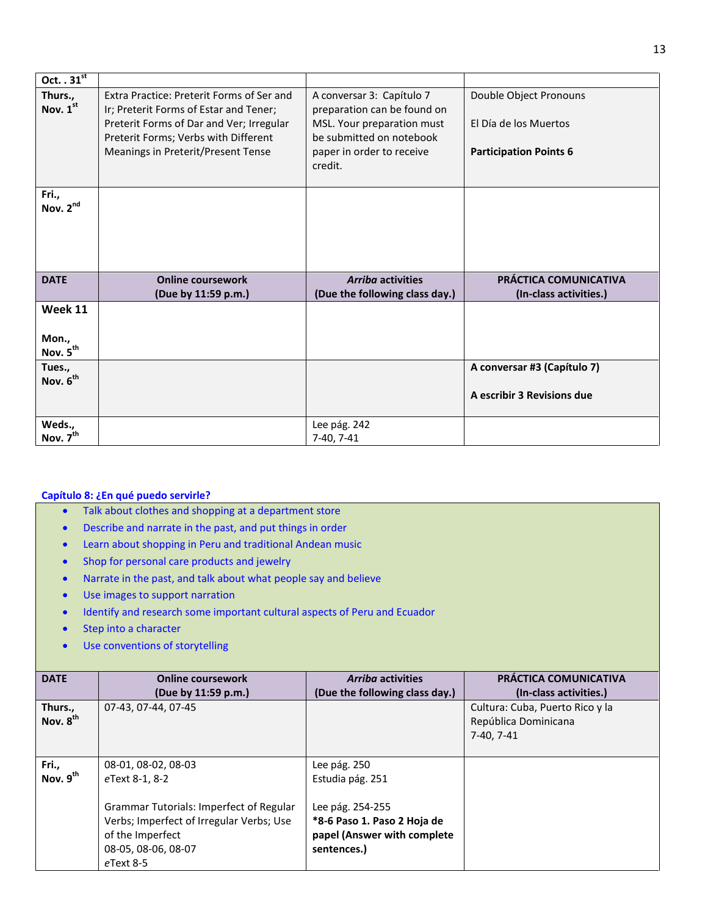| Oct. $.31^{st}$                          |                                                                                                                                                                                                               |                                                                                                                                                            |                                                                                  |
|------------------------------------------|---------------------------------------------------------------------------------------------------------------------------------------------------------------------------------------------------------------|------------------------------------------------------------------------------------------------------------------------------------------------------------|----------------------------------------------------------------------------------|
| Thurs.,<br>Nov. 1st<br>Fri.,             | Extra Practice: Preterit Forms of Ser and<br>Ir; Preterit Forms of Estar and Tener;<br>Preterit Forms of Dar and Ver; Irregular<br>Preterit Forms; Verbs with Different<br>Meanings in Preterit/Present Tense | A conversar 3: Capítulo 7<br>preparation can be found on<br>MSL. Your preparation must<br>be submitted on notebook<br>paper in order to receive<br>credit. | Double Object Pronouns<br>El Día de los Muertos<br><b>Participation Points 6</b> |
| Nov. 2 <sup>nd</sup>                     |                                                                                                                                                                                                               |                                                                                                                                                            |                                                                                  |
| <b>DATE</b>                              | <b>Online coursework</b><br>(Due by 11:59 p.m.)                                                                                                                                                               | <b>Arriba activities</b><br>(Due the following class day.)                                                                                                 | PRÁCTICA COMUNICATIVA<br>(In-class activities.)                                  |
| Week 11<br>Mon.,<br>Nov. $5^{\text{th}}$ |                                                                                                                                                                                                               |                                                                                                                                                            |                                                                                  |
| Tues.,<br>Nov. 6 <sup>th</sup>           |                                                                                                                                                                                                               |                                                                                                                                                            | A conversar #3 (Capítulo 7)<br>A escribir 3 Revisions due                        |
| Weds.,<br>Nov. 7 <sup>th</sup>           |                                                                                                                                                                                                               | Lee pág. 242<br>7-40, 7-41                                                                                                                                 |                                                                                  |

## **Capítulo 8: ¿En qué puedo servirle?**

- Talk about clothes and shopping at a department store
- Describe and narrate in the past, and put things in order
- Learn about shopping in Peru and traditional Andean music
- Shop for personal care products and jewelry
- Narrate in the past, and talk about what people say and believe
- Use images to support narration
- Identify and research some important cultural aspects of Peru and Ecuador
- Step into a character
- Use conventions of storytelling

| <b>DATE</b>                     | <b>Online coursework</b><br>(Due by 11:59 p.m.) | <b>Arriba activities</b><br>(Due the following class day.) | <b>PRÁCTICA COMUNICATIVA</b><br>(In-class activities.)                |
|---------------------------------|-------------------------------------------------|------------------------------------------------------------|-----------------------------------------------------------------------|
| Thurs.,<br>Nov. 8 <sup>th</sup> | 07-43.07-44.07-45                               |                                                            | Cultura: Cuba, Puerto Rico y la<br>República Dominicana<br>7-40. 7-41 |
| Fri.,                           | 08-01, 08-02, 08-03                             | Lee pág. 250                                               |                                                                       |
| Nov. 9 <sup>th</sup>            | eText 8-1, 8-2                                  | Estudia pág. 251                                           |                                                                       |
|                                 | <b>Grammar Tutorials: Imperfect of Regular</b>  | Lee pág. 254-255                                           |                                                                       |
|                                 | Verbs; Imperfect of Irregular Verbs; Use        | *8-6 Paso 1. Paso 2 Hoja de                                |                                                                       |
|                                 | of the Imperfect                                | papel (Answer with complete                                |                                                                       |
|                                 | 08-05, 08-06, 08-07                             | sentences.)                                                |                                                                       |
|                                 | $e$ Text 8-5                                    |                                                            |                                                                       |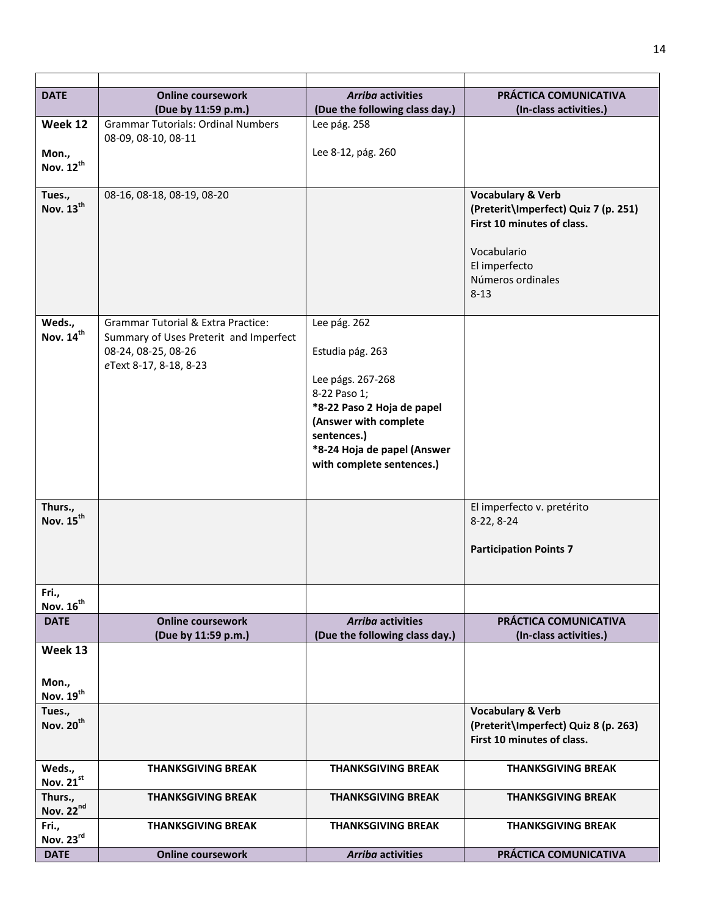| <b>DATE</b>                          | <b>Online coursework</b>                      | <b>Arriba activities</b>          | PRÁCTICA COMUNICATIVA                    |
|--------------------------------------|-----------------------------------------------|-----------------------------------|------------------------------------------|
|                                      | (Due by 11:59 p.m.)                           | (Due the following class day.)    | (In-class activities.)                   |
| Week 12                              | <b>Grammar Tutorials: Ordinal Numbers</b>     | Lee pág. 258                      |                                          |
|                                      | 08-09, 08-10, 08-11                           | Lee 8-12, pág. 260                |                                          |
| Mon.,<br>Nov. 12 <sup>th</sup>       |                                               |                                   |                                          |
|                                      |                                               |                                   |                                          |
| Tues.,                               | 08-16, 08-18, 08-19, 08-20                    |                                   | <b>Vocabulary &amp; Verb</b>             |
| Nov. 13 <sup>th</sup>                |                                               |                                   | (Preterit\Imperfect) Quiz 7 (p. 251)     |
|                                      |                                               |                                   | First 10 minutes of class.               |
|                                      |                                               |                                   |                                          |
|                                      |                                               |                                   | Vocabulario                              |
|                                      |                                               |                                   | El imperfecto<br>Números ordinales       |
|                                      |                                               |                                   | $8 - 13$                                 |
|                                      |                                               |                                   |                                          |
| Weds.,                               | <b>Grammar Tutorial &amp; Extra Practice:</b> | Lee pág. 262                      |                                          |
| Nov. 14 <sup>th</sup>                | Summary of Uses Preterit and Imperfect        |                                   |                                          |
|                                      | 08-24, 08-25, 08-26                           | Estudia pág. 263                  |                                          |
|                                      | eText 8-17, 8-18, 8-23                        |                                   |                                          |
|                                      |                                               | Lee págs. 267-268<br>8-22 Paso 1; |                                          |
|                                      |                                               | *8-22 Paso 2 Hoja de papel        |                                          |
|                                      |                                               | (Answer with complete             |                                          |
|                                      |                                               | sentences.)                       |                                          |
|                                      |                                               | *8-24 Hoja de papel (Answer       |                                          |
|                                      |                                               | with complete sentences.)         |                                          |
|                                      |                                               |                                   |                                          |
|                                      |                                               |                                   |                                          |
| Thurs.,<br>Nov. 15 <sup>th</sup>     |                                               |                                   | El imperfecto v. pretérito<br>8-22, 8-24 |
|                                      |                                               |                                   |                                          |
|                                      |                                               |                                   | <b>Participation Points 7</b>            |
|                                      |                                               |                                   |                                          |
|                                      |                                               |                                   |                                          |
| Fri.,                                |                                               |                                   |                                          |
| Nov. 16 <sup>th</sup><br><b>DATE</b> | <b>Online coursework</b>                      | <b>Arriba activities</b>          | PRÁCTICA COMUNICATIVA                    |
|                                      | (Due by 11:59 p.m.)                           | (Due the following class day.)    | (In-class activities.)                   |
| Week 13                              |                                               |                                   |                                          |
|                                      |                                               |                                   |                                          |
| Mon.,                                |                                               |                                   |                                          |
| Nov. $19^{th}$                       |                                               |                                   |                                          |
| Tues.,                               |                                               |                                   | <b>Vocabulary &amp; Verb</b>             |
| Nov. 20 <sup>th</sup>                |                                               |                                   | (Preterit\Imperfect) Quiz 8 (p. 263)     |
|                                      |                                               |                                   | First 10 minutes of class.               |
|                                      |                                               |                                   |                                          |
| Weds.,<br>Nov. 21st                  | <b>THANKSGIVING BREAK</b>                     | <b>THANKSGIVING BREAK</b>         | <b>THANKSGIVING BREAK</b>                |
| Thurs.,                              | <b>THANKSGIVING BREAK</b>                     | <b>THANKSGIVING BREAK</b>         | <b>THANKSGIVING BREAK</b>                |
| Nov. 22nd                            |                                               |                                   |                                          |
| Fri.,                                | <b>THANKSGIVING BREAK</b>                     | <b>THANKSGIVING BREAK</b>         | <b>THANKSGIVING BREAK</b>                |
| Nov. 23rd                            |                                               |                                   |                                          |
| <b>DATE</b>                          | <b>Online coursework</b>                      | <b>Arriba activities</b>          | PRÁCTICA COMUNICATIVA                    |